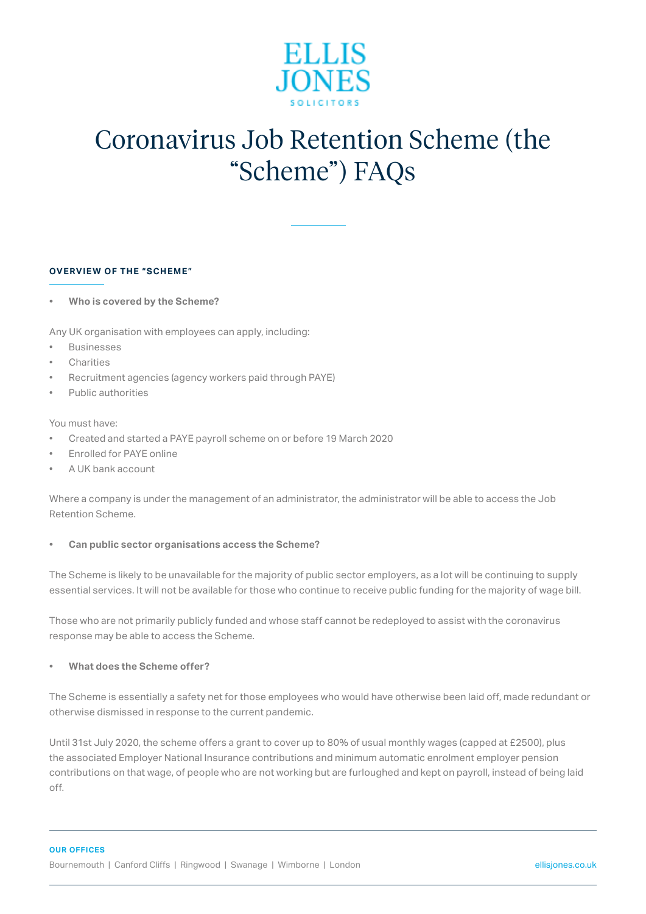

# Coronavirus Job Retention Scheme (the "Scheme") FAQs

# **OVERVIEW OF THE "SCHEME"**

**• Who is covered by the Scheme?**

Any UK organisation with employees can apply, including:

- **Businesses**
- **Charities**
- Recruitment agencies (agency workers paid through PAYE)
- Public authorities

#### You must have:

- Created and started a PAYE payroll scheme on or before 19 March 2020
- Enrolled for PAYE online
- A UK bank account

Where a company is under the management of an administrator, the administrator will be able to access the Job Retention Scheme.

# **• Can public sector organisations access the Scheme?**

The Scheme is likely to be unavailable for the majority of public sector employers, as a lot will be continuing to supply essential services. It will not be available for those who continue to receive public funding for the majority of wage bill.

Those who are not primarily publicly funded and whose staff cannot be redeployed to assist with the coronavirus response may be able to access the Scheme.

#### **• What does the Scheme offer?**

The Scheme is essentially a safety net for those employees who would have otherwise been laid off, made redundant or otherwise dismissed in response to the current pandemic.

Until 31st July 2020, the scheme offers a grant to cover up to 80% of usual monthly wages (capped at £2500), plus the associated Employer National Insurance contributions and minimum automatic enrolment employer pension contributions on that wage, of people who are not working but are furloughed and kept on payroll, instead of being laid off.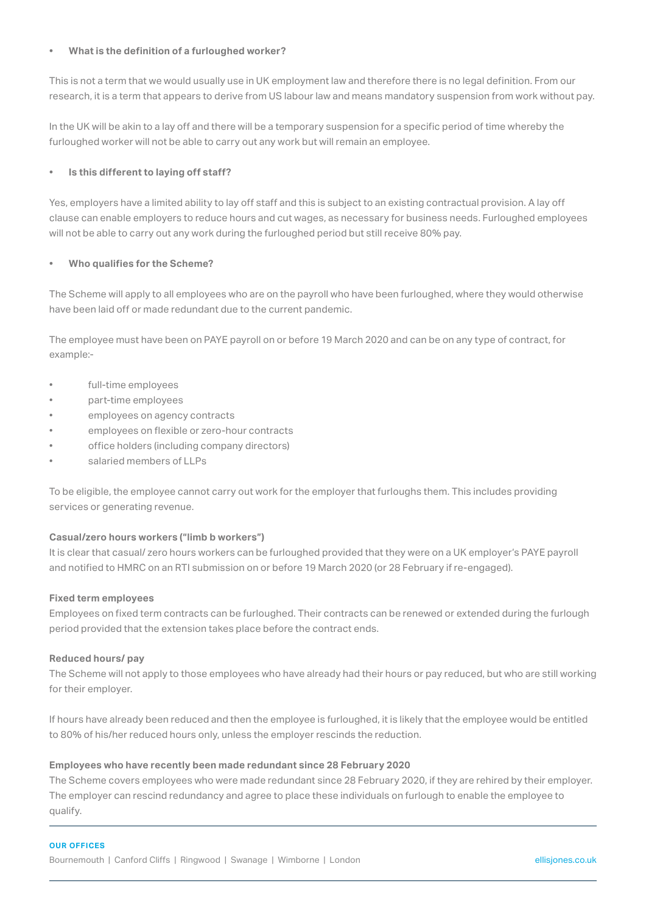# **• What is the definition of a furloughed worker?**

This is not a term that we would usually use in UK employment law and therefore there is no legal definition. From our research, it is a term that appears to derive from US labour law and means mandatory suspension from work without pay.

In the UK will be akin to a lay off and there will be a temporary suspension for a specific period of time whereby the furloughed worker will not be able to carry out any work but will remain an employee.

# **• Is this different to laying off staff?**

Yes, employers have a limited ability to lay off staff and this is subject to an existing contractual provision. A lay off clause can enable employers to reduce hours and cut wages, as necessary for business needs. Furloughed employees will not be able to carry out any work during the furloughed period but still receive 80% pay.

# **• Who qualifies for the Scheme?**

The Scheme will apply to all employees who are on the payroll who have been furloughed, where they would otherwise have been laid off or made redundant due to the current pandemic.

The employee must have been on PAYE payroll on or before 19 March 2020 and can be on any type of contract, for example:-

- full-time employees
- part-time employees
- employees on agency contracts
- employees on flexible or zero-hour contracts
- office holders (including company directors)
- salaried members of LLPs

To be eligible, the employee cannot carry out work for the employer that furloughs them. This includes providing services or generating revenue.

# **Casual/zero hours workers ("limb b workers")**

It is clear that casual/ zero hours workers can be furloughed provided that they were on a UK employer's PAYE payroll and notified to HMRC on an RTI submission on or before 19 March 2020 (or 28 February if re-engaged).

# **Fixed term employees**

Employees on fixed term contracts can be furloughed. Their contracts can be renewed or extended during the furlough period provided that the extension takes place before the contract ends.

# **Reduced hours/ pay**

The Scheme will not apply to those employees who have already had their hours or pay reduced, but who are still working for their employer.

If hours have already been reduced and then the employee is furloughed, it is likely that the employee would be entitled to 80% of his/her reduced hours only, unless the employer rescinds the reduction.

# **Employees who have recently been made redundant since 28 February 2020**

The Scheme covers employees who were made redundant since 28 February 2020, if they are rehired by their employer. The employer can rescind redundancy and agree to place these individuals on furlough to enable the employee to qualify.

#### **OUR OFFICES**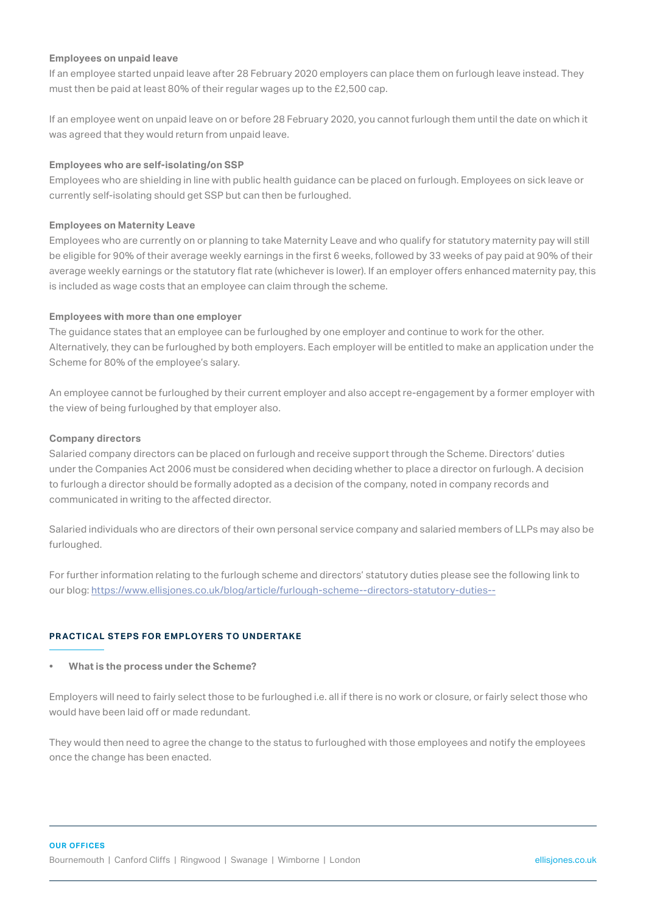#### **Employees on unpaid leave**

If an employee started unpaid leave after 28 February 2020 employers can place them on furlough leave instead. They must then be paid at least 80% of their regular wages up to the £2,500 cap.

If an employee went on unpaid leave on or before 28 February 2020, you cannot furlough them until the date on which it was agreed that they would return from unpaid leave.

#### **Employees who are self-isolating/on SSP**

Employees who are shielding in line with public health guidance can be placed on furlough. Employees on sick leave or currently self-isolating should get SSP but can then be furloughed.

#### **Employees on Maternity Leave**

Employees who are currently on or planning to take Maternity Leave and who qualify for statutory maternity pay will still be eligible for 90% of their average weekly earnings in the first 6 weeks, followed by 33 weeks of pay paid at 90% of their average weekly earnings or the statutory flat rate (whichever is lower). If an employer offers enhanced maternity pay, this is included as wage costs that an employee can claim through the scheme.

#### **Employees with more than one employer**

The guidance states that an employee can be furloughed by one employer and continue to work for the other. Alternatively, they can be furloughed by both employers. Each employer will be entitled to make an application under the Scheme for 80% of the employee's salary.

An employee cannot be furloughed by their current employer and also accept re-engagement by a former employer with the view of being furloughed by that employer also.

#### **Company directors**

Salaried company directors can be placed on furlough and receive support through the Scheme. Directors' duties under the Companies Act 2006 must be considered when deciding whether to place a director on furlough. A decision to furlough a director should be formally adopted as a decision of the company, noted in company records and communicated in writing to the affected director.

Salaried individuals who are directors of their own personal service company and salaried members of LLPs may also be furloughed.

For further information relating to the furlough scheme and directors' statutory duties please see the following link to our blog:<https://www.ellisjones.co.uk/blog/article/furlough-scheme--directors-statutory-duties-->

# **PR ACTICAL STEPS FOR EMPLOYERS TO UNDERTAKE**

#### **• What is the process under the Scheme?**

Employers will need to fairly select those to be furloughed i.e. all if there is no work or closure, or fairly select those who would have been laid off or made redundant.

They would then need to agree the change to the status to furloughed with those employees and notify the employees once the change has been enacted.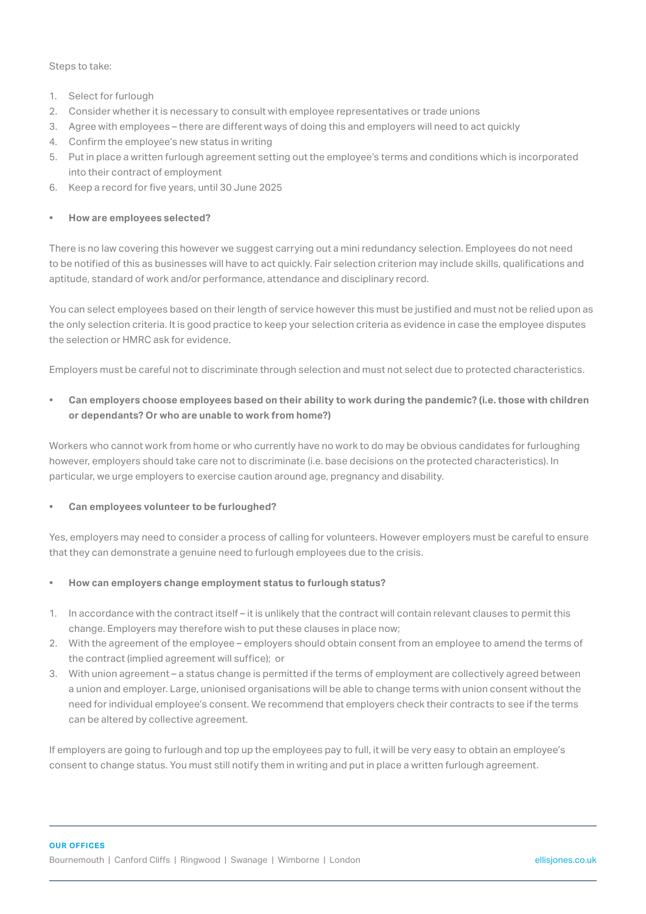#### Steps to take:

- 1. Select for furlough
- 2. Consider whether it is necessary to consult with employee representatives or trade unions
- 3. Agree with employees there are different ways of doing this and employers will need to act quickly
- 4. Confirm the employee's new status in writing
- 5. Put in place a written furlough agreement setting out the employee's terms and conditions which is incorporated into their contract of employment
- 6. Keep a record for five years, until 30 June 2025

# **• How are employees selected?**

There is no law covering this however we suggest carrying out a mini redundancy selection. Employees do not need to be notified of this as businesses will have to act quickly. Fair selection criterion may include skills, qualifications and aptitude, standard of work and/or performance, attendance and disciplinary record.

You can select employees based on their length of service however this must be justified and must not be relied upon as the only selection criteria. It is good practice to keep your selection criteria as evidence in case the employee disputes the selection or HMRC ask for evidence.

Employers must be careful not to discriminate through selection and must not select due to protected characteristics.

**• Can employers choose employees based on their ability to work during the pandemic? (i.e. those with children or dependants? Or who are unable to work from home?)**

Workers who cannot work from home or who currently have no work to do may be obvious candidates for furloughing however, employers should take care not to discriminate (i.e. base decisions on the protected characteristics). In particular, we urge employers to exercise caution around age, pregnancy and disability.

# **• Can employees volunteer to be furloughed?**

Yes, employers may need to consider a process of calling for volunteers. However employers must be careful to ensure that they can demonstrate a genuine need to furlough employees due to the crisis.

# **• How can employers change employment status to furlough status?**

- 1. In accordance with the contract itself it is unlikely that the contract will contain relevant clauses to permit this change. Employers may therefore wish to put these clauses in place now;
- 2. With the agreement of the employee employers should obtain consent from an employee to amend the terms of the contract (implied agreement will suffice); or
- 3. With union agreement a status change is permitted if the terms of employment are collectively agreed between a union and employer. Large, unionised organisations will be able to change terms with union consent without the need for individual employee's consent. We recommend that employers check their contracts to see if the terms can be altered by collective agreement.

If employers are going to furlough and top up the employees pay to full, it will be very easy to obtain an employee's consent to change status. You must still notify them in writing and put in place a written furlough agreement.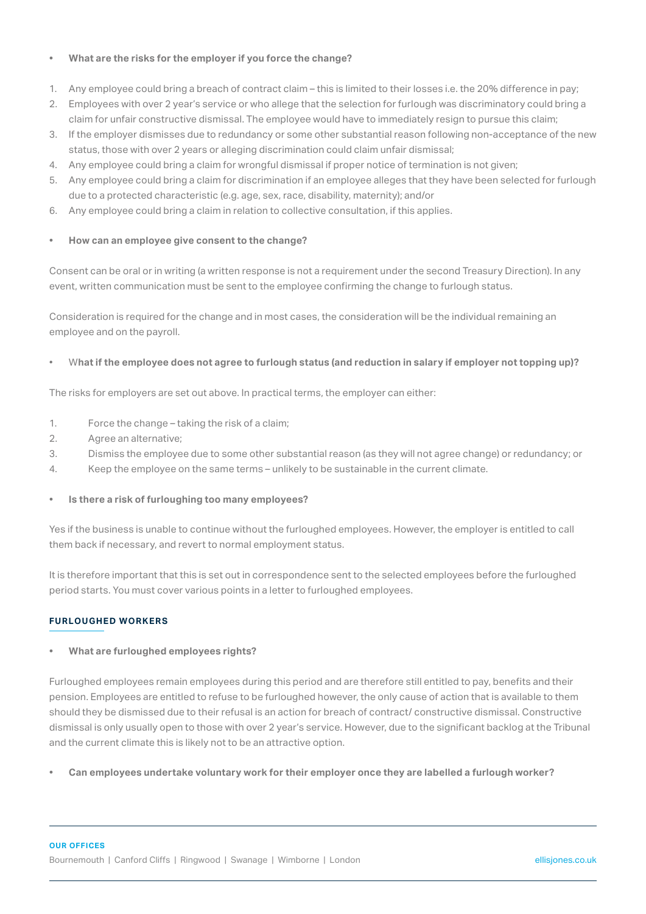# **• What are the risks for the employer if you force the change?**

- 1. Any employee could bring a breach of contract claim this is limited to their losses i.e. the 20% difference in pay;
- 2. Employees with over 2 year's service or who allege that the selection for furlough was discriminatory could bring a claim for unfair constructive dismissal. The employee would have to immediately resign to pursue this claim;
- 3. If the employer dismisses due to redundancy or some other substantial reason following non-acceptance of the new status, those with over 2 years or alleging discrimination could claim unfair dismissal;
- 4. Any employee could bring a claim for wrongful dismissal if proper notice of termination is not given;
- 5. Any employee could bring a claim for discrimination if an employee alleges that they have been selected for furlough due to a protected characteristic (e.g. age, sex, race, disability, maternity); and/or
- 6. Any employee could bring a claim in relation to collective consultation, if this applies.

# **• How can an employee give consent to the change?**

Consent can be oral or in writing (a written response is not a requirement under the second Treasury Direction). In any event, written communication must be sent to the employee confirming the change to furlough status.

Consideration is required for the change and in most cases, the consideration will be the individual remaining an employee and on the payroll.

# • W**hat if the employee does not agree to furlough status (and reduction in salary if employer not topping up)?**

The risks for employers are set out above. In practical terms, the employer can either:

- 1. Force the change taking the risk of a claim;
- 2. Agree an alternative;
- 3. Dismiss the employee due to some other substantial reason (as they will not agree change) or redundancy; or
- 4. Keep the employee on the same terms unlikely to be sustainable in the current climate.

# **• Is there a risk of furloughing too many employees?**

Yes if the business is unable to continue without the furloughed employees. However, the employer is entitled to call them back if necessary, and revert to normal employment status.

It is therefore important that this is set out in correspondence sent to the selected employees before the furloughed period starts. You must cover various points in a letter to furloughed employees.

# **FURLOUGHED WORKERS**

# **• What are furloughed employees rights?**

Furloughed employees remain employees during this period and are therefore still entitled to pay, benefits and their pension. Employees are entitled to refuse to be furloughed however, the only cause of action that is available to them should they be dismissed due to their refusal is an action for breach of contract/ constructive dismissal. Constructive dismissal is only usually open to those with over 2 year's service. However, due to the significant backlog at the Tribunal and the current climate this is likely not to be an attractive option.

**• Can employees undertake voluntary work for their employer once they are labelled a furlough worker?**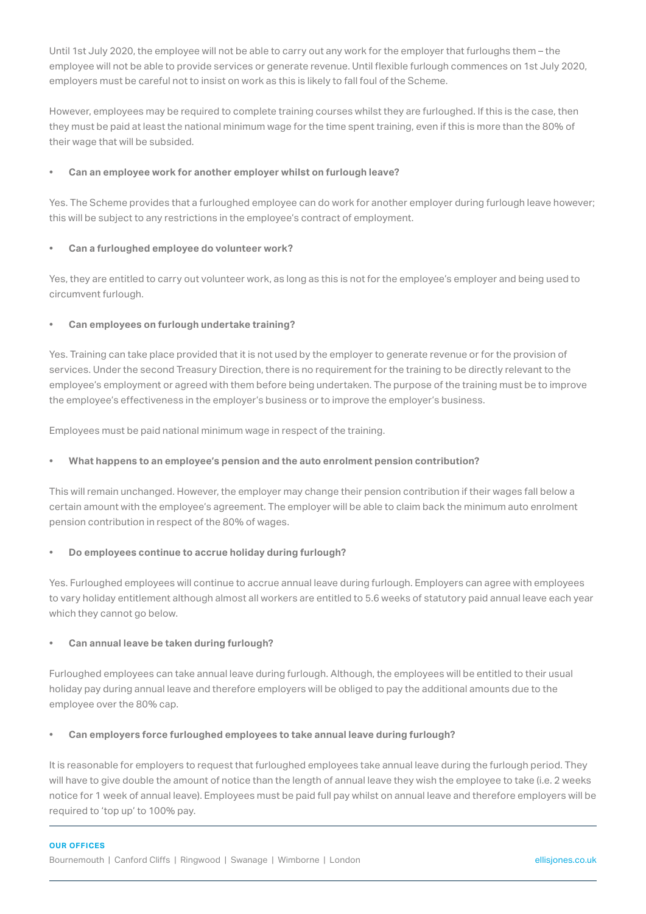Until 1st July 2020, the employee will not be able to carry out any work for the employer that furloughs them – the employee will not be able to provide services or generate revenue. Until flexible furlough commences on 1st July 2020, employers must be careful not to insist on work as this is likely to fall foul of the Scheme.

However, employees may be required to complete training courses whilst they are furloughed. If this is the case, then they must be paid at least the national minimum wage for the time spent training, even if this is more than the 80% of their wage that will be subsided.

# **• Can an employee work for another employer whilst on furlough leave?**

Yes. The Scheme provides that a furloughed employee can do work for another employer during furlough leave however; this will be subject to any restrictions in the employee's contract of employment.

# **• Can a furloughed employee do volunteer work?**

Yes, they are entitled to carry out volunteer work, as long as this is not for the employee's employer and being used to circumvent furlough.

# **• Can employees on furlough undertake training?**

Yes. Training can take place provided that it is not used by the employer to generate revenue or for the provision of services. Under the second Treasury Direction, there is no requirement for the training to be directly relevant to the employee's employment or agreed with them before being undertaken. The purpose of the training must be to improve the employee's effectiveness in the employer's business or to improve the employer's business.

Employees must be paid national minimum wage in respect of the training.

# **• What happens to an employee's pension and the auto enrolment pension contribution?**

This will remain unchanged. However, the employer may change their pension contribution if their wages fall below a certain amount with the employee's agreement. The employer will be able to claim back the minimum auto enrolment pension contribution in respect of the 80% of wages.

# **• Do employees continue to accrue holiday during furlough?**

Yes. Furloughed employees will continue to accrue annual leave during furlough. Employers can agree with employees to vary holiday entitlement although almost all workers are entitled to 5.6 weeks of statutory paid annual leave each year which they cannot go below.

# **• Can annual leave be taken during furlough?**

Furloughed employees can take annual leave during furlough. Although, the employees will be entitled to their usual holiday pay during annual leave and therefore employers will be obliged to pay the additional amounts due to the employee over the 80% cap.

# **• Can employers force furloughed employees to take annual leave during furlough?**

It is reasonable for employers to request that furloughed employees take annual leave during the furlough period. They will have to give double the amount of notice than the length of annual leave they wish the employee to take (i.e. 2 weeks notice for 1 week of annual leave). Employees must be paid full pay whilst on annual leave and therefore employers will be required to 'top up' to 100% pay.

#### **OUR OFFICES**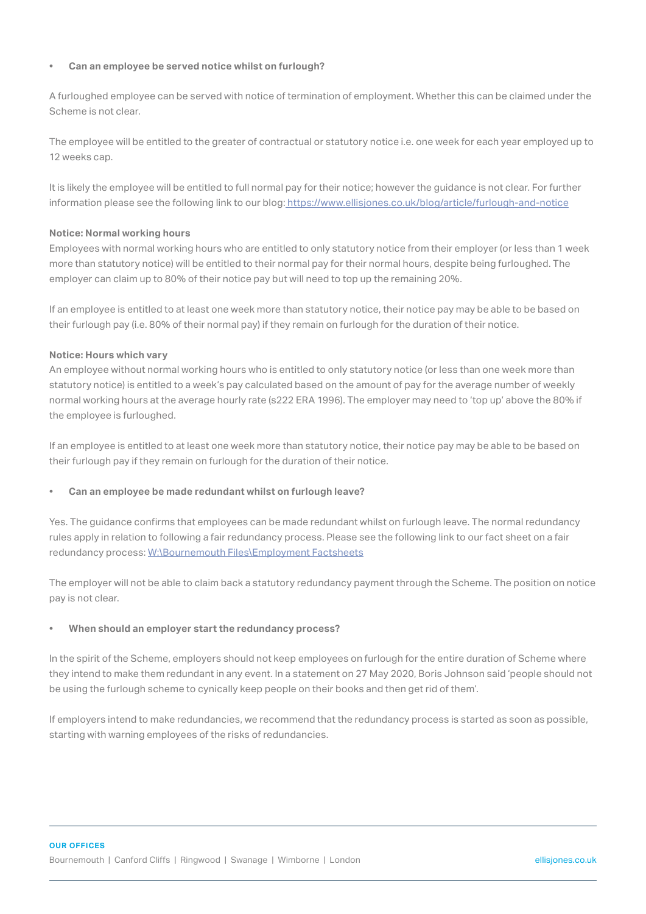#### **• Can an employee be served notice whilst on furlough?**

A furloughed employee can be served with notice of termination of employment. Whether this can be claimed under the Scheme is not clear.

The employee will be entitled to the greater of contractual or statutory notice i.e. one week for each year employed up to 12 weeks cap.

It is likely the employee will be entitled to full normal pay for their notice; however the guidance is not clear. For further information please see the following link to our blog[: https://www.ellisjones.co.uk/blog/article/furlough-and-notice]( https://www.ellisjones.co.uk/blog/article/furlough-and-notice)

#### **Notice: Normal working hours**

Employees with normal working hours who are entitled to only statutory notice from their employer (or less than 1 week more than statutory notice) will be entitled to their normal pay for their normal hours, despite being furloughed. The employer can claim up to 80% of their notice pay but will need to top up the remaining 20%.

If an employee is entitled to at least one week more than statutory notice, their notice pay may be able to be based on their furlough pay (i.e. 80% of their normal pay) if they remain on furlough for the duration of their notice.

# **Notice: Hours which vary**

An employee without normal working hours who is entitled to only statutory notice (or less than one week more than statutory notice) is entitled to a week's pay calculated based on the amount of pay for the average number of weekly normal working hours at the average hourly rate (s222 ERA 1996). The employer may need to 'top up' above the 80% if the employee is furloughed.

If an employee is entitled to at least one week more than statutory notice, their notice pay may be able to be based on their furlough pay if they remain on furlough for the duration of their notice.

# **• Can an employee be made redundant whilst on furlough leave?**

Yes. The guidance confirms that employees can be made redundant whilst on furlough leave. The normal redundancy rules apply in relation to following a fair redundancy process. Please see the following link to our fact sheet on a fair redundancy process: [W:\Bournemouth Files\Employment Factsheets](file:\Bournemouth%20Files\Employment%20Factsheets)

The employer will not be able to claim back a statutory redundancy payment through the Scheme. The position on notice pay is not clear.

# **• When should an employer start the redundancy process?**

In the spirit of the Scheme, employers should not keep employees on furlough for the entire duration of Scheme where they intend to make them redundant in any event. In a statement on 27 May 2020, Boris Johnson said 'people should not be using the furlough scheme to cynically keep people on their books and then get rid of them'.

If employers intend to make redundancies, we recommend that the redundancy process is started as soon as possible, starting with warning employees of the risks of redundancies.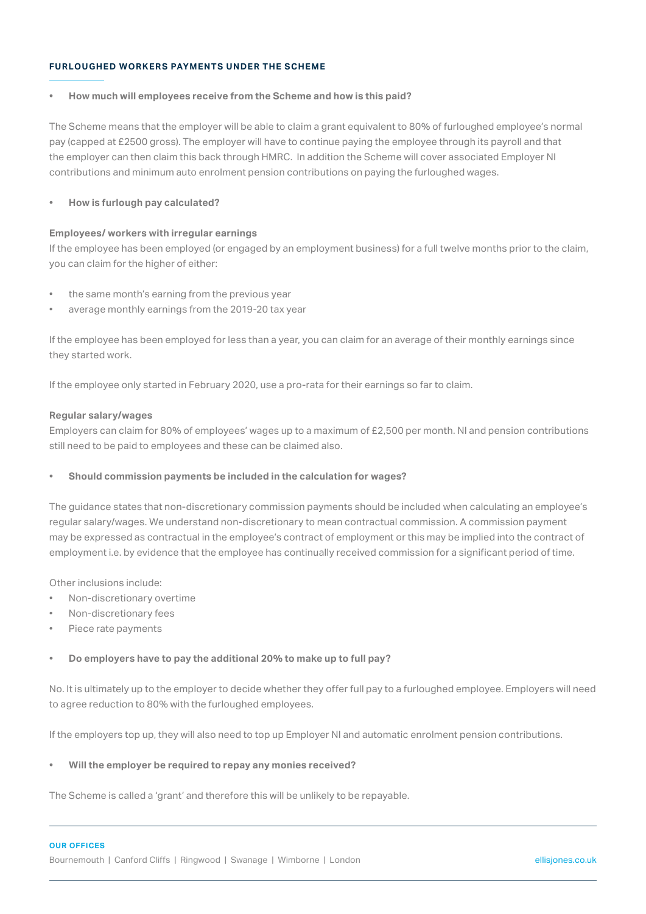# **FURLOUGHED WORKERS PAYMENTS UNDER THE SCHEME**

#### **• How much will employees receive from the Scheme and how is this paid?**

The Scheme means that the employer will be able to claim a grant equivalent to 80% of furloughed employee's normal pay (capped at £2500 gross). The employer will have to continue paying the employee through its payroll and that the employer can then claim this back through HMRC. In addition the Scheme will cover associated Employer NI contributions and minimum auto enrolment pension contributions on paying the furloughed wages.

# **• How is furlough pay calculated?**

#### **Employees/ workers with irregular earnings**

If the employee has been employed (or engaged by an employment business) for a full twelve months prior to the claim, you can claim for the higher of either:

- the same month's earning from the previous year
- average monthly earnings from the 2019-20 tax year

If the employee has been employed for less than a year, you can claim for an average of their monthly earnings since they started work.

If the employee only started in February 2020, use a pro-rata for their earnings so far to claim.

#### **Regular salary/wages**

Employers can claim for 80% of employees' wages up to a maximum of £2,500 per month. NI and pension contributions still need to be paid to employees and these can be claimed also.

# **• Should commission payments be included in the calculation for wages?**

The guidance states that non-discretionary commission payments should be included when calculating an employee's regular salary/wages. We understand non-discretionary to mean contractual commission. A commission payment may be expressed as contractual in the employee's contract of employment or this may be implied into the contract of employment i.e. by evidence that the employee has continually received commission for a significant period of time.

Other inclusions include:

- Non-discretionary overtime
- Non-discretionary fees
- Piece rate payments

# **• Do employers have to pay the additional 20% to make up to full pay?**

No. It is ultimately up to the employer to decide whether they offer full pay to a furloughed employee. Employers will need to agree reduction to 80% with the furloughed employees.

If the employers top up, they will also need to top up Employer NI and automatic enrolment pension contributions.

#### **• Will the employer be required to repay any monies received?**

The Scheme is called a 'grant' and therefore this will be unlikely to be repayable.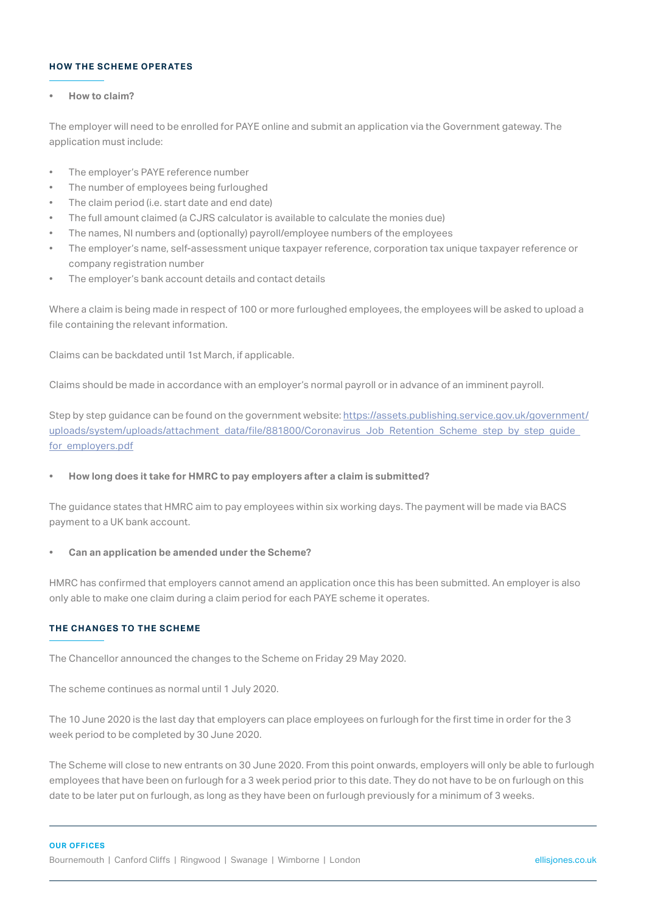# **HOW THE SCHEME OPERATES**

#### **• How to claim?**

The employer will need to be enrolled for PAYE online and submit an application via the Government gateway. The application must include:

- The employer's PAYE reference number
- The number of employees being furloughed
- The claim period (i.e. start date and end date)
- The full amount claimed (a CJRS calculator is available to calculate the monies due)
- The names, NI numbers and (optionally) payroll/employee numbers of the employees
- The employer's name, self-assessment unique taxpayer reference, corporation tax unique taxpayer reference or company registration number
- The employer's bank account details and contact details

Where a claim is being made in respect of 100 or more furloughed employees, the employees will be asked to upload a file containing the relevant information.

Claims can be backdated until 1st March, if applicable.

Claims should be made in accordance with an employer's normal payroll or in advance of an imminent payroll.

Step by step guidance can be found on the government website: [https://assets.publishing.service.gov.uk/government/](https://assets.publishing.service.gov.uk/government/uploads/system/uploads/attachment_data/file/8818) [uploads/system/uploads/attachment\\_data/file/881800/Coronavirus\\_Job\\_Retention\\_Scheme\\_step\\_by\\_step\\_guide\\_](https://assets.publishing.service.gov.uk/government/uploads/system/uploads/attachment_data/file/8818) [for\\_employers.pdf](https://assets.publishing.service.gov.uk/government/uploads/system/uploads/attachment_data/file/8818)

#### **• How long does it take for HMRC to pay employers after a claim is submitted?**

The guidance states that HMRC aim to pay employees within six working days. The payment will be made via BACS payment to a UK bank account.

#### **• Can an application be amended under the Scheme?**

HMRC has confirmed that employers cannot amend an application once this has been submitted. An employer is also only able to make one claim during a claim period for each PAYE scheme it operates.

#### **THE CHANGES TO THE SCHEME**

The Chancellor announced the changes to the Scheme on Friday 29 May 2020.

The scheme continues as normal until 1 July 2020.

The 10 June 2020 is the last day that employers can place employees on furlough for the first time in order for the 3 week period to be completed by 30 June 2020.

The Scheme will close to new entrants on 30 June 2020. From this point onwards, employers will only be able to furlough employees that have been on furlough for a 3 week period prior to this date. They do not have to be on furlough on this date to be later put on furlough, as long as they have been on furlough previously for a minimum of 3 weeks.

#### **OUR OFFICES**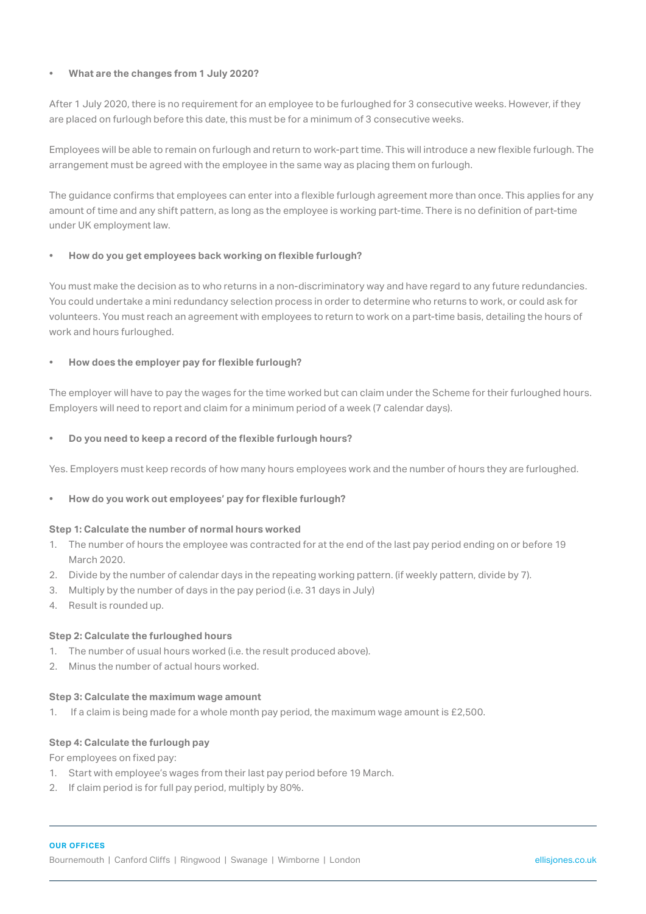# **• What are the changes from 1 July 2020?**

After 1 July 2020, there is no requirement for an employee to be furloughed for 3 consecutive weeks. However, if they are placed on furlough before this date, this must be for a minimum of 3 consecutive weeks.

Employees will be able to remain on furlough and return to work-part time. This will introduce a new flexible furlough. The arrangement must be agreed with the employee in the same way as placing them on furlough.

The guidance confirms that employees can enter into a flexible furlough agreement more than once. This applies for any amount of time and any shift pattern, as long as the employee is working part-time. There is no definition of part-time under UK employment law.

# **• How do you get employees back working on flexible furlough?**

You must make the decision as to who returns in a non-discriminatory way and have regard to any future redundancies. You could undertake a mini redundancy selection process in order to determine who returns to work, or could ask for volunteers. You must reach an agreement with employees to return to work on a part-time basis, detailing the hours of work and hours furloughed.

# **• How does the employer pay for flexible furlough?**

The employer will have to pay the wages for the time worked but can claim under the Scheme for their furloughed hours. Employers will need to report and claim for a minimum period of a week (7 calendar days).

# **• Do you need to keep a record of the flexible furlough hours?**

Yes. Employers must keep records of how many hours employees work and the number of hours they are furloughed.

# **• How do you work out employees' pay for flexible furlough?**

# **Step 1: Calculate the number of normal hours worked**

- 1. The number of hours the employee was contracted for at the end of the last pay period ending on or before 19 March 2020
- 2. Divide by the number of calendar days in the repeating working pattern. (if weekly pattern, divide by 7).
- 3. Multiply by the number of days in the pay period (i.e. 31 days in July)
- 4. Result is rounded up.

# **Step 2: Calculate the furloughed hours**

- 1. The number of usual hours worked (i.e. the result produced above).
- 2. Minus the number of actual hours worked.

# **Step 3: Calculate the maximum wage amount**

1. If a claim is being made for a whole month pay period, the maximum wage amount is £2,500.

# **Step 4: Calculate the furlough pay**

For employees on fixed pay:

- 1. Start with employee's wages from their last pay period before 19 March.
- 2. If claim period is for full pay period, multiply by 80%.

# **OUR OFFICES**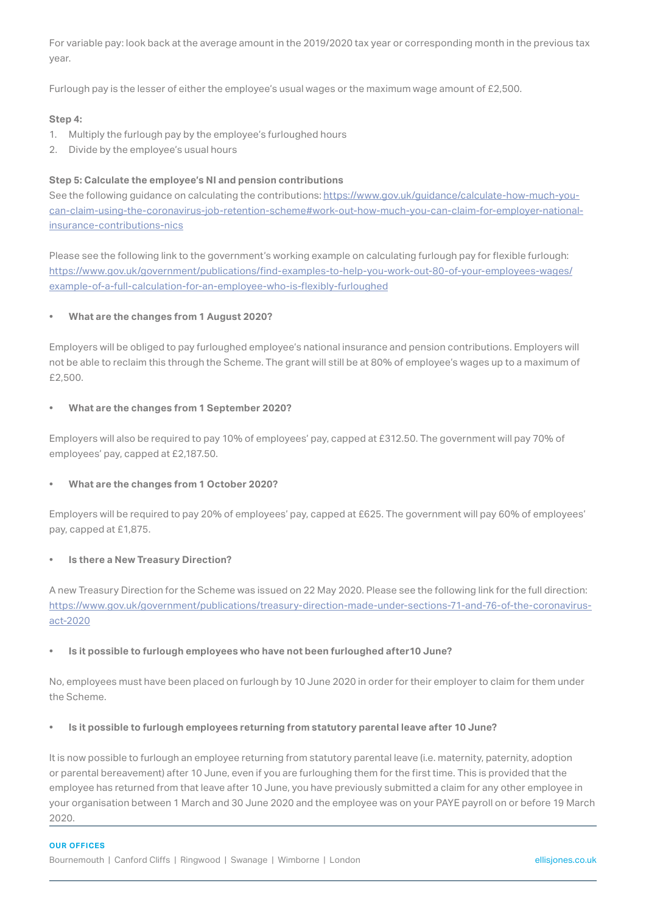For variable pay: look back at the average amount in the 2019/2020 tax year or corresponding month in the previous tax year.

Furlough pay is the lesser of either the employee's usual wages or the maximum wage amount of £2,500.

#### **Step 4:**

- 1. Multiply the furlough pay by the employee's furloughed hours
- 2. Divide by the employee's usual hours

#### **Step 5: Calculate the employee's NI and pension contributions**

See the following guidance on calculating the contributions: [https://www.gov.uk/guidance/calculate-how-much-you](https://www.gov.uk/guidance/calculate-how-much-you-can-claim-using-the-coronavirus-job-retention-scheme#work-out-how-much-you-can-claim-for-employer-national-insurance-contributions-nics)[can-claim-using-the-coronavirus-job-retention-scheme#work-out-how-much-you-can-claim-for-employer-national](https://www.gov.uk/guidance/calculate-how-much-you-can-claim-using-the-coronavirus-job-retention-scheme#work-out-how-much-you-can-claim-for-employer-national-insurance-contributions-nics)[insurance-contributions-nics](https://www.gov.uk/guidance/calculate-how-much-you-can-claim-using-the-coronavirus-job-retention-scheme#work-out-how-much-you-can-claim-for-employer-national-insurance-contributions-nics)

Please see the following link to the government's working example on calculating furlough pay for flexible furlough: [https://www.gov.uk/government/publications/find-examples-to-help-you-work-out-80-of-your-employees-wages/](https://www.gov.uk/government/publications/find-examples-to-help-you-work-out-80-of-your-employees-w) [example-of-a-full-calculation-for-an-employee-who-is-flexibly-furloughed](https://www.gov.uk/government/publications/find-examples-to-help-you-work-out-80-of-your-employees-w)

#### **• What are the changes from 1 August 2020?**

Employers will be obliged to pay furloughed employee's national insurance and pension contributions. Employers will not be able to reclaim this through the Scheme. The grant will still be at 80% of employee's wages up to a maximum of £2,500.

#### **• What are the changes from 1 September 2020?**

Employers will also be required to pay 10% of employees' pay, capped at £312.50. The government will pay 70% of employees' pay, capped at £2,187.50.

#### **• What are the changes from 1 October 2020?**

Employers will be required to pay 20% of employees' pay, capped at £625. The government will pay 60% of employees' pay, capped at £1,875.

#### **• Is there a New Treasury Direction?**

A new Treasury Direction for the Scheme was issued on 22 May 2020. Please see the following link for the full direction: [https://www.gov.uk/government/publications/treasury-direction-made-under-sections-71-and-76-of-the-coronavirus](https://www.gov.uk/government/publications/treasury-direction-made-under-sections-71-and-76-of-the-c)[act-2020](https://www.gov.uk/government/publications/treasury-direction-made-under-sections-71-and-76-of-the-c)

#### **• Is it possible to furlough employees who have not been furloughed after10 June?**

No, employees must have been placed on furlough by 10 June 2020 in order for their employer to claim for them under the Scheme.

#### **• Is it possible to furlough employees returning from statutory parental leave after 10 June?**

It is now possible to furlough an employee returning from statutory parental leave (i.e. maternity, paternity, adoption or parental bereavement) after 10 June, even if you are furloughing them for the first time. This is provided that the employee has returned from that leave after 10 June, you have previously submitted a claim for any other employee in your organisation between 1 March and 30 June 2020 and the employee was on your PAYE payroll on or before 19 March 2020.

#### **OUR OFFICES**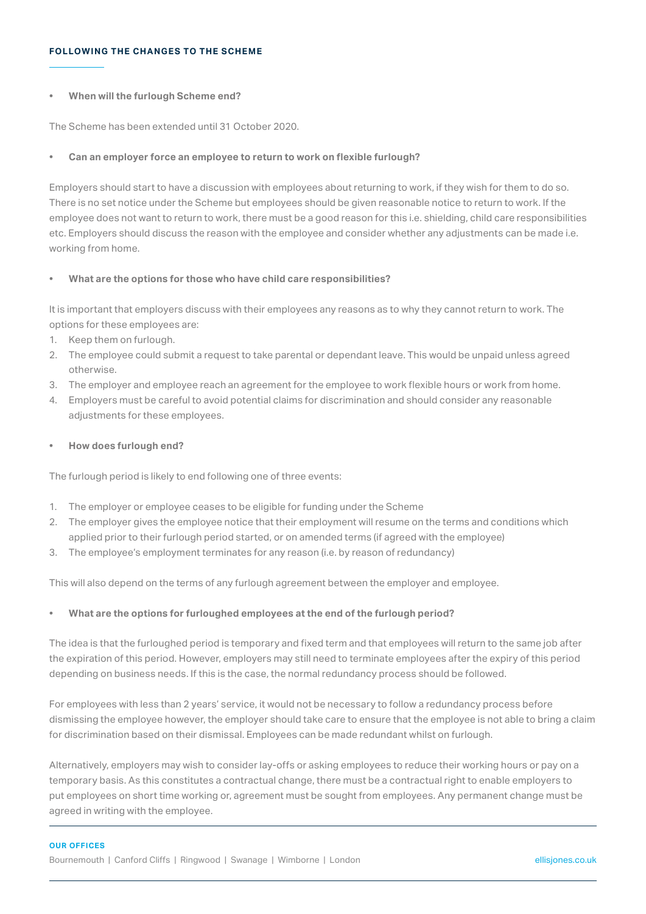#### **FOLLOWING THE CHANGES TO THE SCHEME**

#### **• When will the furlough Scheme end?**

The Scheme has been extended until 31 October 2020.

#### **• Can an employer force an employee to return to work on flexible furlough?**

Employers should start to have a discussion with employees about returning to work, if they wish for them to do so. There is no set notice under the Scheme but employees should be given reasonable notice to return to work. If the employee does not want to return to work, there must be a good reason for this i.e. shielding, child care responsibilities etc. Employers should discuss the reason with the employee and consider whether any adjustments can be made i.e. working from home.

#### **• What are the options for those who have child care responsibilities?**

It is important that employers discuss with their employees any reasons as to why they cannot return to work. The options for these employees are:

- 1. Keep them on furlough.
- 2. The employee could submit a request to take parental or dependant leave. This would be unpaid unless agreed otherwise.
- 3. The employer and employee reach an agreement for the employee to work flexible hours or work from home.
- 4. Employers must be careful to avoid potential claims for discrimination and should consider any reasonable adjustments for these employees.
- **• How does furlough end?**

The furlough period is likely to end following one of three events:

- 1. The employer or employee ceases to be eligible for funding under the Scheme
- 2. The employer gives the employee notice that their employment will resume on the terms and conditions which applied prior to their furlough period started, or on amended terms (if agreed with the employee)
- 3. The employee's employment terminates for any reason (i.e. by reason of redundancy)

This will also depend on the terms of any furlough agreement between the employer and employee.

# **• What are the options for furloughed employees at the end of the furlough period?**

The idea is that the furloughed period is temporary and fixed term and that employees will return to the same job after the expiration of this period. However, employers may still need to terminate employees after the expiry of this period depending on business needs. If this is the case, the normal redundancy process should be followed.

For employees with less than 2 years' service, it would not be necessary to follow a redundancy process before dismissing the employee however, the employer should take care to ensure that the employee is not able to bring a claim for discrimination based on their dismissal. Employees can be made redundant whilst on furlough.

Alternatively, employers may wish to consider lay-offs or asking employees to reduce their working hours or pay on a temporary basis. As this constitutes a contractual change, there must be a contractual right to enable employers to put employees on short time working or, agreement must be sought from employees. Any permanent change must be agreed in writing with the employee.

#### **OUR OFFICES**